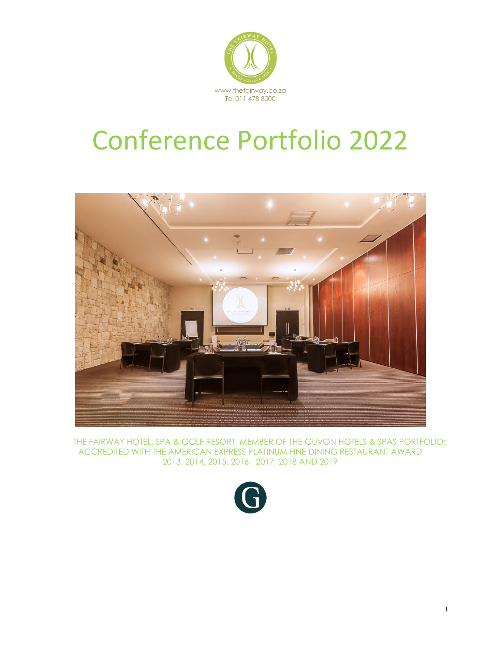

# Conference Portfolio 2022



 THE FAIRWAY HOTEL, SPA & GOLF RESORT. MEMBER OF THE GUVON HOTELS & SPAS PORTFOLIO: ACCREDITED WITH THE AMERICAN EXPRESS PLATINUM FINE DINING RESTAURANT AWARD 2013, 2014, 2015, 2016, 2017, 2018 AND 2019

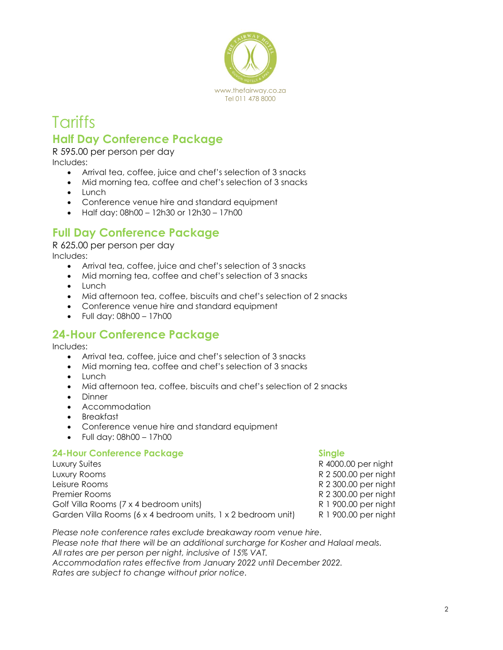

### **Tariffs Half Day Conference Package**

R 595.00 per person per day Includes:

- Arrival tea, coffee, juice and chef's selection of 3 snacks
- Mid morning tea, coffee and chef's selection of 3 snacks
- Lunch
- Conference venue hire and standard equipment
- Half day: 08h00 12h30 or 12h30 17h00

### **Full Day Conference Package**

R 625.00 per person per day Includes:

- Arrival tea, coffee, juice and chef's selection of 3 snacks
- Mid morning tea, coffee and chef's selection of 3 snacks
- Lunch
- Mid afternoon tea, coffee, biscuits and chef's selection of 2 snacks
- Conference venue hire and standard equipment
- Full day: 08h00 17h00

### **24-Hour Conference Package**

Includes:

- Arrival tea, coffee, juice and chef's selection of 3 snacks
- Mid morning tea, coffee and chef's selection of 3 snacks
- Lunch
- Mid afternoon tea, coffee, biscuits and chef's selection of 2 snacks
- Dinner
- Accommodation
- Breakfast
- Conference venue hire and standard equipment
- Full day: 08h00 17h00

#### **24-Hour Conference Package <b>Single Single**

Luxury Suites R 4000.00 per night Luxury Rooms R 2 500.00 per night Leisure Rooms **Research 2 300.00 per night** R 2 300.00 per night Premier Rooms **Remier Rooms** R 2 300.00 per night Golf Villa Rooms (7 x 4 bedroom units) R 1 900.00 per night Garden Villa Rooms (6 x 4 bedroom units, 1 x 2 bedroom unit) R 1 900.00 per night

*Please note conference rates exclude breakaway room venue hire. Please note that there will be an additional surcharge for Kosher and Halaal meals. All rates are per person per night, inclusive of 15% VAT. Accommodation rates effective from January 2022 until December 2022. Rates are subject to change without prior notice.*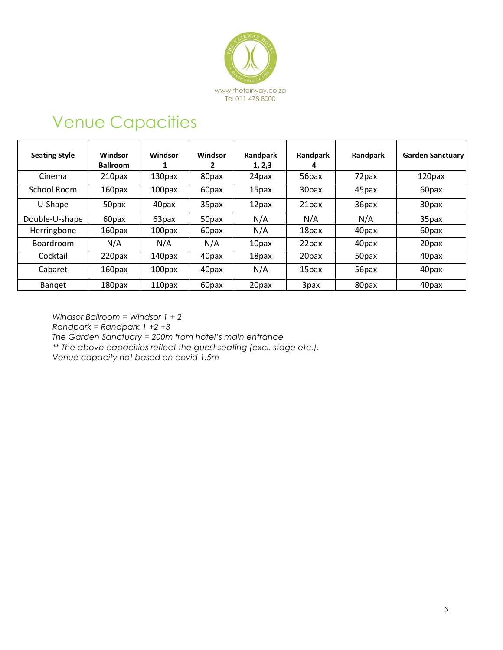

## Venue Capacities

| <b>Seating Style</b> | Windsor<br><b>Ballroom</b> | Windsor | Windsor<br>2 | Randpark<br>1, 2, 3 | Randpark<br>4 | Randpark | <b>Garden Sanctuary</b> |
|----------------------|----------------------------|---------|--------------|---------------------|---------------|----------|-------------------------|
| Cinema               | 210 <sub>px</sub>          | 130pax  | 80pax        | 24pax               | 56pax         | 72pax    | 120pax                  |
| School Room          | 160pax                     | 100pax  | 60pax        | 15pax               | 30pax         | 45pax    | 60pax                   |
| U-Shape              | 50pax                      | 40pax   | 35pax        | 12pax               | 21pax         | 36pax    | 30pax                   |
| Double-U-shape       | 60pax                      | 63pax   | 50pax        | N/A                 | N/A           | N/A      | 35pax                   |
| Herringbone          | 160pax                     | 100pax  | 60pax        | N/A                 | 18pax         | 40pax    | 60pax                   |
| <b>Boardroom</b>     | N/A                        | N/A     | N/A          | 10pax               | 22pax         | 40pax    | 20pax                   |
| Cocktail             | 220pax                     | 140pax  | 40pax        | 18pax               | 20pax         | 50pax    | 40pax                   |
| Cabaret              | 160pax                     | 100pax  | 40pax        | N/A                 | 15pax         | 56pax    | 40pax                   |
| Banget               | 180pax                     | 110pax  | 60pax        | 20pax               | 3pax          | 80pax    | 40pax                   |

*Windsor Ballroom = Windsor 1 + 2 Randpark = Randpark 1 +2 +3 The Garden Sanctuary = 200m from hotel's main entrance \*\* The above capacities reflect the guest seating (excl. stage etc.). Venue capacity not based on covid 1.5m*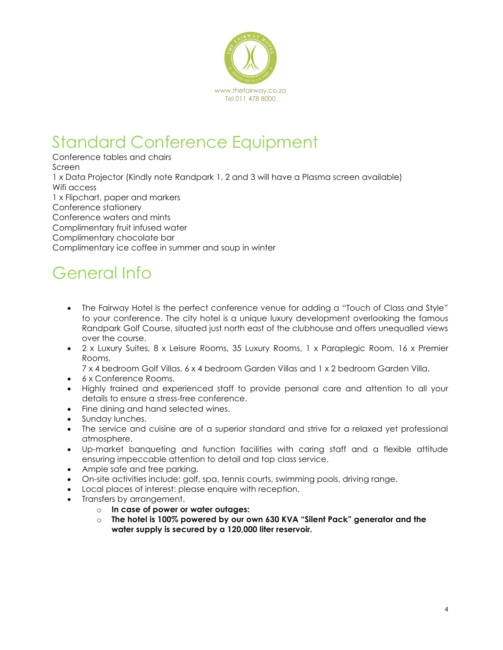

## Standard Conference Equipment

Conference tables and chairs Screen 1 x Data Projector (Kindly note Randpark 1, 2 and 3 will have a Plasma screen available) Wifi access 1 x Flipchart, paper and markers Conference stationery Conference waters and mints Complimentary fruit infused water Complimentary chocolate bar Complimentary ice coffee in summer and soup in winter

# General Info

- The Fairway Hotel is the perfect conference venue for adding a "Touch of Class and Style" to your conference. The city hotel is a unique luxury development overlooking the famou[s](http://www.randpark.co.za/) [Randpark Golf Course,](http://www.randpark.co.za/) situated just north east of the clubhouse and offers unequalled views over the course.
- 2 x Luxury Suites, 8 x Leisure Rooms, 35 Luxury Rooms, 1 x Paraplegic Room, 16 x Premier Rooms,
	- 7 x 4 bedroom Golf Villas, 6 x 4 bedroom Garden Villas and 1 x 2 bedroom Garden Villa.
- 6 x Conference Rooms.
- Highly trained and experienced staff to provide personal care and attention to all your details to ensure a stress-free conference.
- Fine dining and hand selected wines.
- Sunday lunches.
- The service and cuisine are of a superior standard and strive for a relaxed yet professional atmosphere.
- Up-market banqueting and function facilities with caring staff and a flexible attitude ensuring impeccable attention to detail and top class service.
- Ample safe and free parking.
- On-site activities include: golf, spa, tennis courts, swimming pools, driving range.
- Local places of interest: please enquire with reception.
- Transfers by arrangement.
	- o **In case of power or water outages:**
	- o **The hotel is 100% powered by our own 630 KVA "Silent Pack" generator and the water supply is secured by a 120,000 liter reservoir.**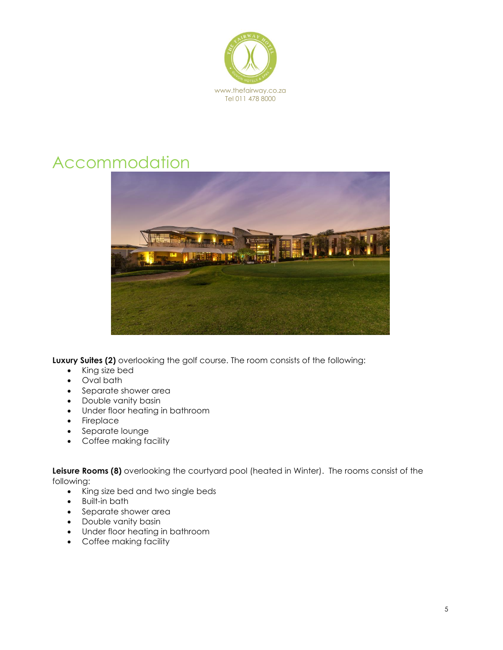

## Accommodation



**Luxury Suites (2)** overlooking the golf course. The room consists of the following:

- King size bed
- Oval bath
- Separate shower area
- Double vanity basin
- Under floor heating in bathroom
- Fireplace
- Separate lounge
- Coffee making facility

**Leisure Rooms (8)** overlooking the courtyard pool (heated in Winter). The rooms consist of the following:

- King size bed and two single beds
- Built-in bath
- Separate shower area
- Double vanity basin
- Under floor heating in bathroom
- Coffee making facility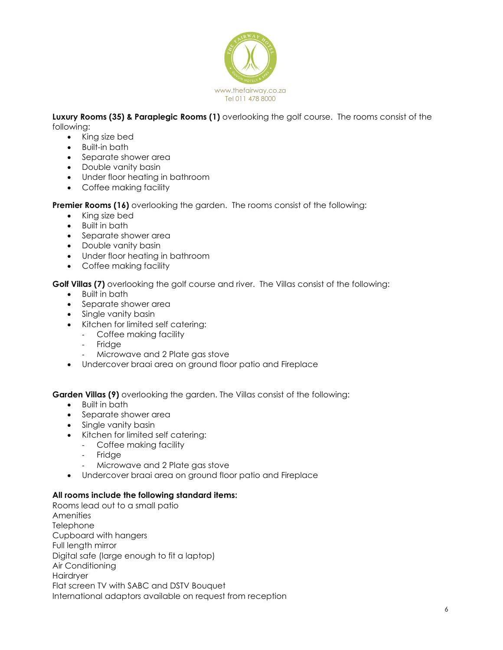

**Luxury Rooms (35) & Paraplegic Rooms (1)** overlooking the golf course. The rooms consist of the following:

- King size bed
- Built-in bath
- Separate shower area
- Double vanity basin
- Under floor heating in bathroom
- Coffee making facility

**Premier Rooms (16)** overlooking the garden. The rooms consist of the following:

- King size bed
- Built in bath
- Separate shower area
- Double vanity basin
- Under floor heating in bathroom
- Coffee making facility

**Golf Villas (7)** overlooking the golf course and river. The Villas consist of the following:

- Built in bath
- Separate shower area
- Single vanity basin
- Kitchen for limited self catering:
	- Coffee making facility
		- **Fridge**
		- Microwave and 2 Plate gas stove
- Undercover braai area on ground floor patio and Fireplace

**Garden Villas (9)** overlooking the garden. The Villas consist of the following:

- Built in bath
- Separate shower area
- Single vanity basin
- Kitchen for limited self catering:
	- Coffee making facility
	- **Fridge**
	- Microwave and 2 Plate gas stove
- Undercover braai area on ground floor patio and Fireplace

#### **All rooms include the following standard items:**

Rooms lead out to a small patio **Amenities Telephone** Cupboard with hangers Full length mirror Digital safe (large enough to fit a laptop) Air Conditioning Hairdryer Flat screen TV with SABC and DSTV Bouquet International adaptors available on request from reception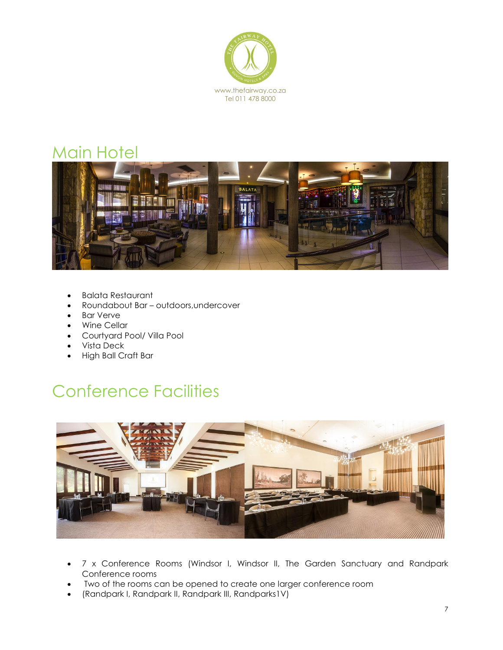

### Main Hotel



- Balata Restaurant
- Roundabout Bar outdoors,undercover
- Bar Verve
- Wine Cellar
- Courtyard Pool/ Villa Pool
- Vista Deck
- High Ball Craft Bar

## Conference Facilities



- 7 x Conference Rooms (Windsor I, Windsor II, The Garden Sanctuary and Randpark Conference rooms
- Two of the rooms can be opened to create one larger conference room
- (Randpark I, Randpark II, Randpark III, Randparks1V)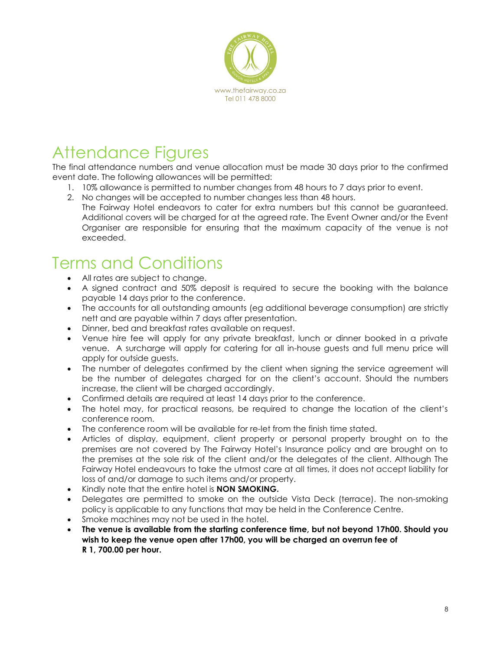

# Attendance Figures

The final attendance numbers and venue allocation must be made 30 days prior to the confirmed event date. The following allowances will be permitted:

- 1. 10% allowance is permitted to number changes from 48 hours to 7 days prior to event.
- 2. No changes will be accepted to number changes less than 48 hours. The Fairway Hotel endeavors to cater for extra numbers but this cannot be guaranteed. Additional covers will be charged for at the agreed rate. The Event Owner and/or the Event Organiser are responsible for ensuring that the maximum capacity of the venue is not exceeded.

## Terms and Conditions

- All rates are subject to change.
- A signed contract and 50% deposit is required to secure the booking with the balance payable 14 days prior to the conference.
- The accounts for all outstanding amounts (eg additional beverage consumption) are strictly nett and are payable within 7 days after presentation.
- Dinner, bed and breakfast rates available on request.
- Venue hire fee will apply for any private breakfast, lunch or dinner booked in a private venue. A surcharge will apply for catering for all in-house guests and full menu price will apply for outside guests.
- The number of delegates confirmed by the client when signing the service agreement will be the number of delegates charged for on the client's account. Should the numbers increase, the client will be charged accordingly.
- Confirmed details are required at least 14 days prior to the conference.
- The hotel may, for practical reasons, be required to change the location of the client's conference room.
- The conference room will be available for re-let from the finish time stated.
- Articles of display, equipment, client property or personal property brought on to the premises are not covered by The Fairway Hotel's Insurance policy and are brought on to the premises at the sole risk of the client and/or the delegates of the client. Although The Fairway Hotel endeavours to take the utmost care at all times, it does not accept liability for loss of and/or damage to such items and/or property.
- Kindly note that the entire hotel is **NON SMOKING.**
- Delegates are permitted to smoke on the outside Vista Deck (terrace). The non-smoking policy is applicable to any functions that may be held in the Conference Centre.
- Smoke machines may not be used in the hotel.
- **The venue is available from the starting conference time, but not beyond 17h00. Should you wish to keep the venue open after 17h00, you will be charged an overrun fee of R 1, 700.00 per hour.**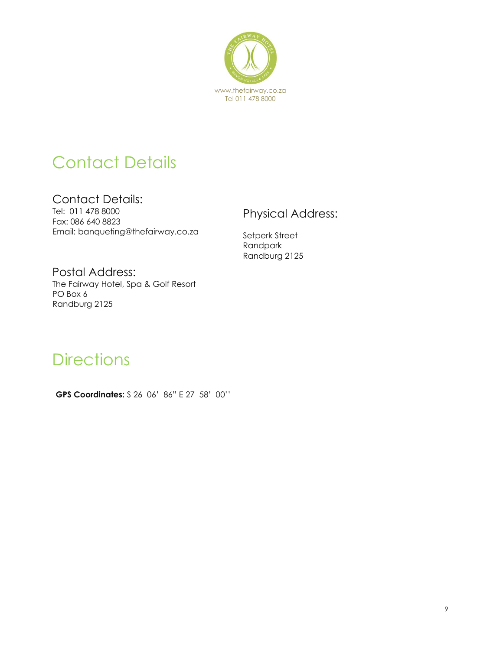

# Contact Details

Contact Details: Tel: 011 478 8000 Fax: 086 640 8823 Email: banqueting@thefairway.co.za

### Physical Address:

Setperk Street Randpark Randburg 2125

Postal Address: The Fairway Hotel, Spa & Golf Resort PO Box 6 Randburg 2125

### **Directions**

**GPS Coordinates:** S 26 06' 86" E 27 58' 00''